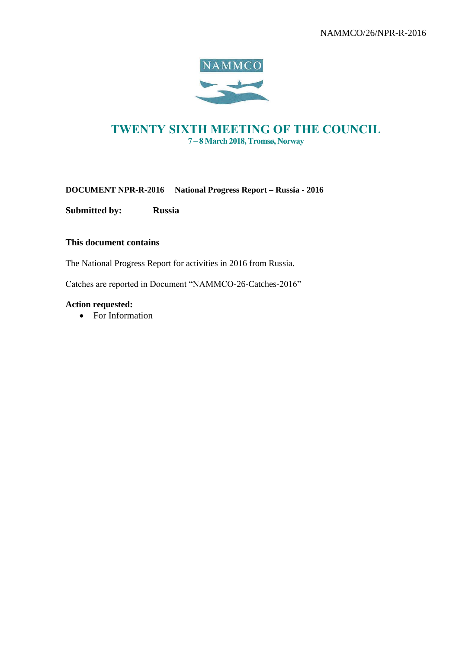

# TWENTY SIXTH MEETING OF THE COUNCIL 7 – 8 March 2018, Tromsø, Norway

## **DOCUMENT NPR-R-2016 National Progress Report – Russia - 2016**

**Submitted by: Russia**

## **This document contains**

The National Progress Report for activities in 2016 from Russia.

Catches are reported in Document "NAMMCO-26-Catches-2016"

## **Action requested:**

• For Information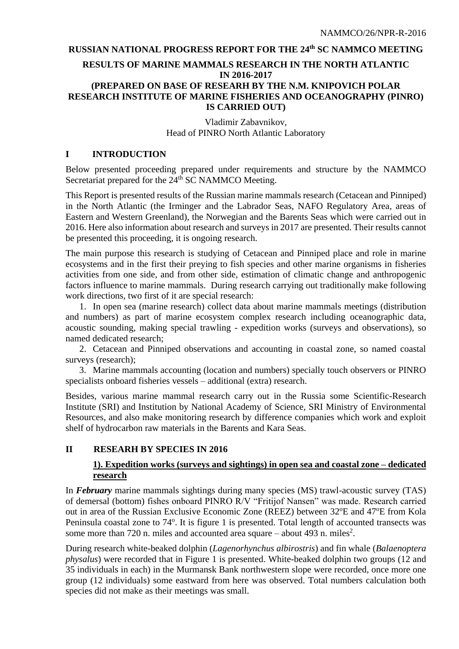## **RUSSIAN NATIONAL PROGRESS REPORT FOR THE 24 th SC NAMMCO MEETING**

# **RESULTS OF MARINE MAMMALS RESEARCH IN THE NORTH ATLANTIC IN 2016-2017 (PREPARED ON BASE OF RESEARH BY THE N.M. KNIPOVICH POLAR RESEARCH INSTITUTE OF MARINE FISHERIES AND OCEANOGRAPHY (PINRO) IS CARRIED OUT)**

## Vladimir Zabavnikov, Head of PINRO North Atlantic Laboratory

#### **I INTRODUCTION**

Below presented proceeding prepared under requirements and structure by the NAMMCO Secretariat prepared for the 24<sup>th</sup> SC NAMMCO Meeting.

This Report is presented results of the Russian marine mammals research (Cetacean and Pinniped) in the North Atlantic (the Irminger and the Labrador Seas, NAFO Regulatory Area, areas of Eastern and Western Greenland), the Norwegian and the Barents Seas which were carried out in 2016. Here also information about research and surveys in 2017 are presented. Their results cannot be presented this proceeding, it is ongoing research.

The main purpose this research is studying of Cetacean and Pinniped place and role in marine ecosystems and in the first their preying to fish species and other marine organisms in fisheries activities from one side, and from other side, estimation of climatic change and anthropogenic factors influence to marine mammals. During research carrying out traditionally make following work directions, two first of it are special research:

1. In open sea (marine research) collect data about marine mammals meetings (distribution and numbers) as part of marine ecosystem complex research including oceanographic data, acoustic sounding, making special trawling - expedition works (surveys and observations), so named dedicated research;

2. Cetacean and Pinniped observations and accounting in coastal zone, so named coastal surveys (research);

3. Marine mammals accounting (location and numbers) specially touch observers or PINRO specialists onboard fisheries vessels – additional (extra) research.

Besides, various marine mammal research carry out in the Russia some Scientific-Research Institute (SRI) and Institution by National Academy of Science, SRI Ministry of Environmental Resources, and also make monitoring research by difference companies which work and exploit shelf of hydrocarbon raw materials in the Barents and Kara Seas.

## **II RESEARH BY SPECIES IN 2016**

## **1). Expedition works (surveys and sightings) in open sea and coastal zone – dedicated research**

In *February* marine mammals sightings during many species (MS) trawl-acoustic survey (TAS) of demersal (bottom) fishes onboard PINRO R/V "Fritijof Nansen" was made. Research carried out in area of the Russian Exclusive Economic Zone (REEZ) between 32°E and 47°E from Kola Peninsula coastal zone to 74°. It is figure 1 is presented. Total length of accounted transects was some more than  $720$  n. miles and accounted area square  $-$  about 493 n. miles<sup>2</sup>.

During research white-beaked dolphin (*Lagenorhynchus albirostris*) and fin whale (*Balaenoptera physalus*) were recorded that in Figure 1 is presented. White-beaked dolphin two groups (12 and 35 individuals in each) in the Murmansk Bank northwestern slope were recorded, once more one group (12 individuals) some eastward from here was observed. Total numbers calculation both species did not make as their meetings was small.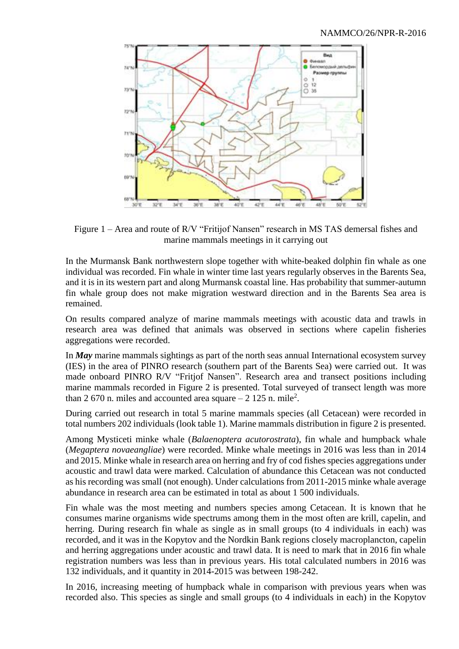

Figure 1 – Area and route of R/V "Fritijof Nansen" research in MS TAS demersal fishes and marine mammals meetings in it carrying out

In the Murmansk Bank northwestern slope together with white-beaked dolphin fin whale as one individual was recorded. Fin whale in winter time last years regularly observes in the Barents Sea, and it is in its western part and along Murmansk coastal line. Has probability that summer-autumn fin whale group does not make migration westward direction and in the Barents Sea area is remained.

On results compared analyze of marine mammals meetings with acoustic data and trawls in research area was defined that animals was observed in sections where capelin fisheries aggregations were recorded.

In *May* marine mammals sightings as part of the north seas annual International ecosystem survey (IES) in the area of PINRO research (southern part of the Barents Sea) were carried out. It was made onboard PINRO R/V "Fritjof Nansen". Research area and transect positions including marine mammals recorded in Figure 2 is presented. Total surveyed of transect length was more than 2 670 n. miles and accounted area square  $-2$  125 n. mile<sup>2</sup>.

During carried out research in total 5 marine mammals species (all Cetacean) were recorded in total numbers 202 individuals (look table 1). Marine mammals distribution in figure 2 is presented.

Among Mysticeti minke whale (*Balaenoptera acutorostrata*), fin whale and humpback whale (*Megaptera novaeangliae*) were recorded. Minke whale meetings in 2016 was less than in 2014 and 2015. Minke whale in research area on herring and fry of cod fishes species aggregations under acoustic and trawl data were marked. Calculation of abundance this Cetacean was not conducted as his recording was small (not enough). Under calculations from 2011-2015 minke whale average abundance in research area can be estimated in total as about 1 500 individuals.

Fin whale was the most meeting and numbers species among Cetacean. It is known that he consumes marine organisms wide spectrums among them in the most often are krill, capelin, and herring. During research fin whale as single as in small groups (to 4 individuals in each) was recorded, and it was in the Kopytov and the Nordkin Bank regions closely macroplancton, capelin and herring aggregations under acoustic and trawl data. It is need to mark that in 2016 fin whale registration numbers was less than in previous years. His total calculated numbers in 2016 was 132 individuals, and it quantity in 2014-2015 was between 198-242.

In 2016, increasing meeting of humpback whale in comparison with previous years when was recorded also. This species as single and small groups (to 4 individuals in each) in the Kopytov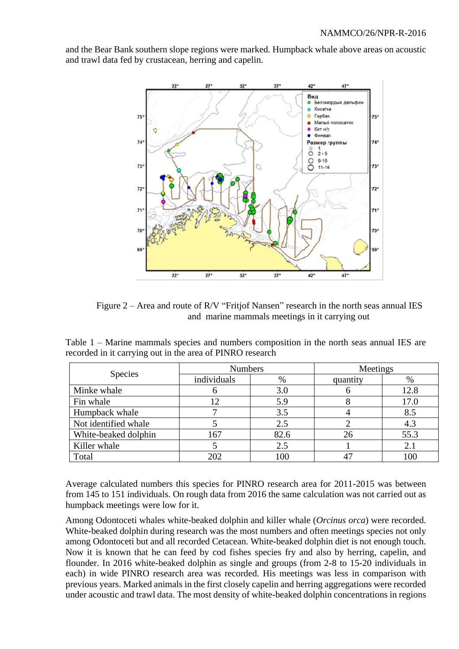and the Bear Bank southern slope regions were marked. Humpback whale above areas on acoustic and trawl data fed by crustacean, herring and capelin.



Figure 2 – Area and route of R/V "Fritjof Nansen" research in the north seas annual IES and marine mammals meetings in it carrying out

Table 1 – Marine mammals species and numbers composition in the north seas annual IES are recorded in it carrying out in the area of PINRO research

|                      | <b>Numbers</b> |      | Meetings |      |  |
|----------------------|----------------|------|----------|------|--|
| <b>Species</b>       | individuals    | $\%$ | quantity | $\%$ |  |
| Minke whale          |                | 3.0  |          | 12.8 |  |
| Fin whale            |                | 5.9  |          | 17.0 |  |
| Humpback whale       |                | 3.5  |          | 8.5  |  |
| Not identified whale |                | 2.5  |          | 4.3  |  |
| White-beaked dolphin | 167            | 82.6 | 26       | 55.3 |  |
| Killer whale         |                | 2.5  |          | 2.1  |  |
| Total                | 202            |      | $4-$     |      |  |

Average calculated numbers this species for PINRO research area for 2011-2015 was between from 145 to 151 individuals. On rough data from 2016 the same calculation was not carried out as humpback meetings were low for it.

Among Odontoceti whales white-beaked dolphin and killer whale (*Orcinus orca*) were recorded. White-beaked dolphin during research was the most numbers and often meetings species not only among Odontoceti but and all recorded Cetacean. White-beaked dolphin diet is not enough touch. Now it is known that he can feed by cod fishes species fry and also by herring, capelin, and flounder. In 2016 white-beaked dolphin as single and groups (from 2-8 to 15-20 individuals in each) in wide PINRO research area was recorded. His meetings was less in comparison with previous years. Marked animals in the first closely capelin and herring aggregations were recorded under acoustic and trawl data. The most density of white-beaked dolphin concentrations in regions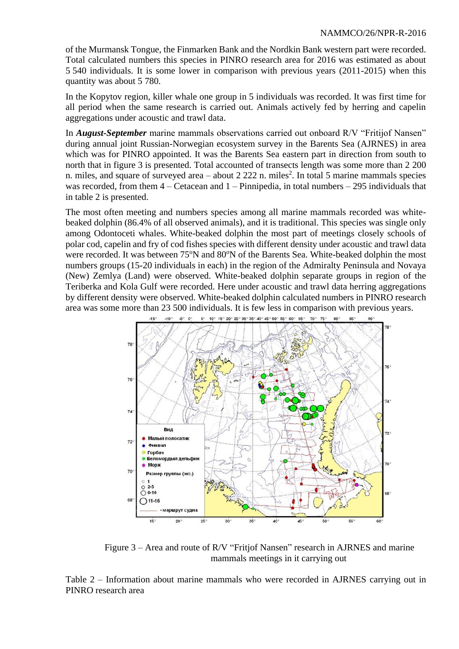of the Murmansk Tongue, the Finmarken Bank and the Nordkin Bank western part were recorded. Total calculated numbers this species in PINRO research area for 2016 was estimated as about 5 540 individuals. It is some lower in comparison with previous years (2011-2015) when this quantity was about 5 780.

In the Kopytov region, killer whale one group in 5 individuals was recorded. It was first time for all period when the same research is carried out. Animals actively fed by herring and capelin aggregations under acoustic and trawl data.

In *August-September* marine mammals observations carried out onboard R/V "Fritijof Nansen" during annual joint Russian-Norwegian ecosystem survey in the Barents Sea (AJRNES) in area which was for PINRO appointed. It was the Barents Sea eastern part in direction from south to north that in figure 3 is presented. Total accounted of transects length was some more than 2 200 n. miles, and square of surveyed area  $-$  about 2 222 n. miles<sup>2</sup>. In total 5 marine mammals species was recorded, from them  $4 -$ Cetacean and  $1 -$ Pinnipedia, in total numbers  $-295$  individuals that in table 2 is presented.

The most often meeting and numbers species among all marine mammals recorded was whitebeaked dolphin (86.4% of all observed animals), and it is traditional. This species was single only among Odontoceti whales. White-beaked dolphin the most part of meetings closely schools of polar cod, capelin and fry of cod fishes species with different density under acoustic and trawl data were recorded. It was between 75°N and 80°N of the Barents Sea. White-beaked dolphin the most numbers groups (15-20 individuals in each) in the region of the Admiralty Peninsula and Novaya (New) Zemlya (Land) were observed. White-beaked dolphin separate groups in region of the Teriberka and Kola Gulf were recorded. Here under acoustic and trawl data herring aggregations by different density were observed. White-beaked dolphin calculated numbers in PINRO research area was some more than 23 500 individuals. It is few less in comparison with previous years.



Figure 3 – Area and route of R/V "Fritjof Nansen" research in AJRNES and marine mammals meetings in it carrying out

Table 2 – Information about marine mammals who were recorded in AJRNES carrying out in PINRO research area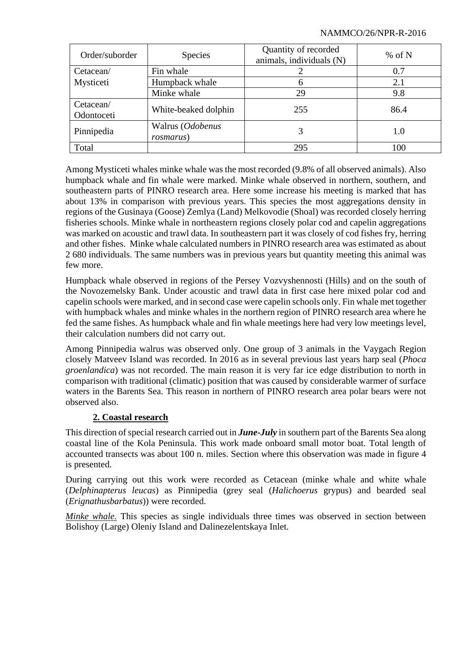#### NAMMCO/26/NPR-R-2016

| Order/suborder          | <b>Species</b>                        | Quantity of recorded<br>animals, individuals (N) | % of N |  |
|-------------------------|---------------------------------------|--------------------------------------------------|--------|--|
| Cetacean/               | Fin whale                             |                                                  | 0.7    |  |
| Mysticeti               | Humpback whale                        | 6                                                | 2.1    |  |
|                         | Minke whale                           | 29                                               | 9.8    |  |
| Cetacean/<br>Odontoceti | White-beaked dolphin                  | 255                                              | 86.4   |  |
| Pinnipedia              | Walrus (Odobenus<br><i>rosmarus</i> ) | 3                                                | 1.0    |  |
| Total                   |                                       | 295                                              | 100    |  |

Among Mysticeti whales minke whale was the most recorded (9.8% of all observed animals). Also humpback whale and fin whale were marked. Minke whale observed in northern, southern, and southeastern parts of PINRO research area. Here some increase his meeting is marked that has about 13% in comparison with previous years. This species the most aggregations density in regions of the Gusinaya (Goose) Zemlya (Land) Melkovodie (Shoal) was recorded closely herring fisheries schools. Minke whale in northeastern regions closely polar cod and capelin aggregations was marked on acoustic and trawl data. In southeastern part it was closely of cod fishes fry, herring and other fishes. Minke whale calculated numbers in PINRO research area was estimated as about 2 680 individuals. The same numbers was in previous years but quantity meeting this animal was few more.

Humpback whale observed in regions of the Persey Vozvyshennosti (Hills) and on the south of the Novozemelsky Bank. Under acoustic and trawl data in first case here mixed polar cod and capelin schools were marked, and in second case were capelin schools only. Fin whale met together with humpback whales and minke whales in the northern region of PINRO research area where he fed the same fishes. As humpback whale and fin whale meetings here had very low meetings level, their calculation numbers did not carry out.

Among Pinnipedia walrus was observed only. One group of 3 animals in the Vaygach Region closely Matveev Island was recorded. In 2016 as in several previous last years harp seal (*Phoca groenlandica*) was not recorded. The main reason it is very far ice edge distribution to north in comparison with traditional (climatic) position that was caused by considerable warmer of surface waters in the Barents Sea. This reason in northern of PINRO research area polar bears were not observed also.

# **2. Coastal research**

This direction of special research carried out in *June-July* in southern part of the Barents Sea along coastal line of the Kola Peninsula. This work made onboard small motor boat. Total length of accounted transects was about 100 n. miles. Section where this observation was made in figure 4 is presented.

During carrying out this work were recorded as Cetacean (minke whale and white whale (*Delphinapterus leucas*) as Pinnipedia (grey seal (*Halichoerus* grypus) and bearded seal (*Erignathusbarbatus*)) were recorded.

*Minke whale.* This species as single individuals three times was observed in section between Bolishoy (Large) Oleniy Island and Dalinezelentskaya Inlet.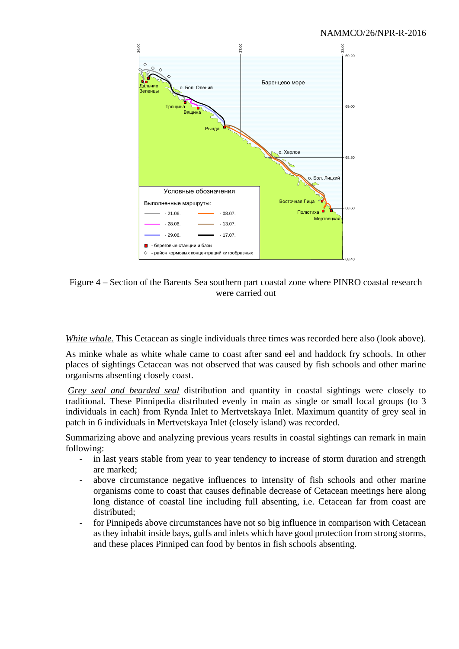

Figure 4 – Section of the Barents Sea southern part coastal zone where PINRO coastal research were carried out

*White whale.* This Cetacean as single individuals three times was recorded here also (look above).

As minke whale as white whale came to coast after sand eel and haddock fry schools. In other places of sightings Cetacean was not observed that was caused by fish schools and other marine organisms absenting closely coast.

*Grey seal and bearded seal* distribution and quantity in coastal sightings were closely to traditional. These Pinnipedia distributed evenly in main as single or small local groups (to 3 individuals in each) from Rynda Inlet to Mertvetskaya Inlet. Maximum quantity of grey seal in patch in 6 individuals in Mertvetskaya Inlet (closely island) was recorded.

Summarizing above and analyzing previous years results in coastal sightings can remark in main following:

- in last years stable from year to year tendency to increase of storm duration and strength are marked;
- above circumstance negative influences to intensity of fish schools and other marine organisms come to coast that causes definable decrease of Cetacean meetings here along long distance of coastal line including full absenting, i.e. Cetacean far from coast are distributed;
- for Pinnipeds above circumstances have not so big influence in comparison with Cetacean as they inhabit inside bays, gulfs and inlets which have good protection from strong storms, and these places Pinniped can food by bentos in fish schools absenting.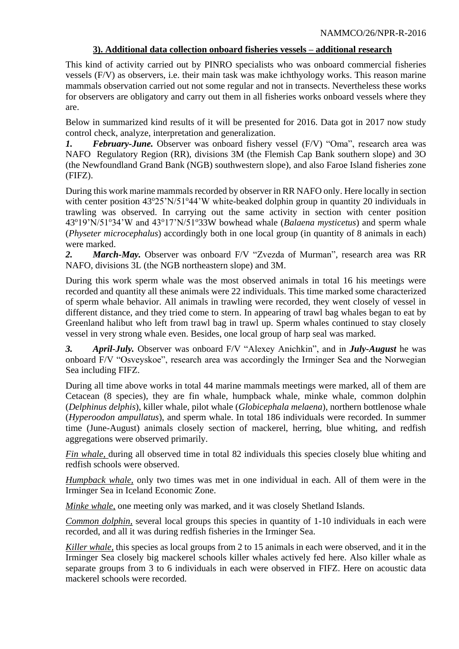# **3). Additional data collection onboard fisheries vessels – additional research**

This kind of activity carried out by PINRO specialists who was onboard commercial fisheries vessels (F/V) as observers, i.e. their main task was make ichthyology works. This reason marine mammals observation carried out not some regular and not in transects. Nevertheless these works for observers are obligatory and carry out them in all fisheries works onboard vessels where they are.

Below in summarized kind results of it will be presented for 2016. Data got in 2017 now study control check, analyze, interpretation and generalization.

*1. February-June.* Observer was onboard fishery vessel (F/V) "Oma", research area was NAFO Regulatory Region (RR), divisions 3M (the Flemish Cap Bank southern slope) and 3O (the Newfoundland Grand Bank (NGB) southwestern slope), and also Faroe Island fisheries zone (FIFZ).

During this work marine mammals recorded by observer in RR NAFO only. Here locally in section with center position  $43^{\circ}25'N/51^{\circ}44'W$  white-beaked dolphin group in quantity 20 individuals in trawling was observed. In carrying out the same activity in section with center position 43<sup>o</sup>19'N/51<sup>o</sup>34'W and 43<sup>o</sup>17'N/51<sup>o</sup>33W bowhead whale (*Balaena mysticetus*) and sperm whale (*Physeter microcephalus*) accordingly both in one local group (in quantity of 8 animals in each) were marked.

*2. March-May.* Observer was onboard F/V "Zvezda of Murman", research area was RR NAFO, divisions 3L (the NGB northeastern slope) and 3M.

During this work sperm whale was the most observed animals in total 16 his meetings were recorded and quantity all these animals were 22 individuals. This time marked some characterized of sperm whale behavior. All animals in trawling were recorded, they went closely of vessel in different distance, and they tried come to stern. In appearing of trawl bag whales began to eat by Greenland halibut who left from trawl bag in trawl up. Sperm whales continued to stay closely vessel in very strong whale even. Besides, one local group of harp seal was marked.

*3. April-July.* Observer was onboard F/V "Alexey Anichkin", and in *July-August* he was onboard F/V "Osveyskoe", research area was accordingly the Irminger Sea and the Norwegian Sea including FIFZ.

During all time above works in total 44 marine mammals meetings were marked, all of them are Cetacean (8 species), they are fin whale, humpback whale, minke whale, common dolphin (*Delphinus delphis*), killer whale, pilot whale (*Globicephala melaena*), northern bottlenose whale (*Hyperoodon ampullatus*), and sperm whale. In total 186 individuals were recorded. In summer time (June-August) animals closely section of mackerel, herring, blue whiting, and redfish aggregations were observed primarily.

*Fin whale,* during all observed time in total 82 individuals this species closely blue whiting and redfish schools were observed.

*Humpback whale,* only two times was met in one individual in each. All of them were in the Irminger Sea in Iceland Economic Zone.

*Minke whale,* one meeting only was marked, and it was closely Shetland Islands.

*Common dolphin,* several local groups this species in quantity of 1-10 individuals in each were recorded, and all it was during redfish fisheries in the Irminger Sea.

*Killer whale,* this species as local groups from 2 to 15 animals in each were observed, and it in the Irminger Sea closely big mackerel schools killer whales actively fed here. Also killer whale as separate groups from 3 to 6 individuals in each were observed in FIFZ. Here on acoustic data mackerel schools were recorded.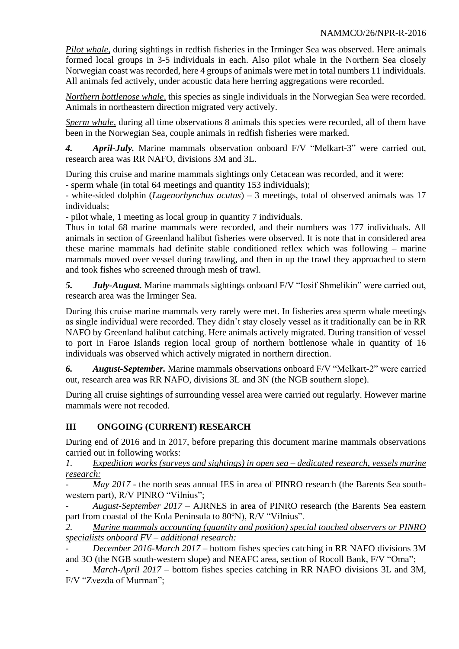*Pilot whale,* during sightings in redfish fisheries in the Irminger Sea was observed. Here animals formed local groups in 3-5 individuals in each. Also pilot whale in the Northern Sea closely Norwegian coast was recorded, here 4 groups of animals were met in total numbers 11 individuals. All animals fed actively, under acoustic data here herring aggregations were recorded.

*Northern bottlenose whale,* this species as single individuals in the Norwegian Sea were recorded. Animals in northeastern direction migrated very actively.

*Sperm whale,* during all time observations 8 animals this species were recorded, all of them have been in the Norwegian Sea, couple animals in redfish fisheries were marked.

*4. April-July.* Marine mammals observation onboard F/V "Melkart-3" were carried out, research area was RR NAFO, divisions 3M and 3L.

During this cruise and marine mammals sightings only Cetacean was recorded, and it were: - sperm whale (in total 64 meetings and quantity 153 individuals);

- white-sided dolphin (*Lagenorhynchus acutus*) – 3 meetings, total of observed animals was 17 individuals;

- pilot whale, 1 meeting as local group in quantity 7 individuals.

Thus in total 68 marine mammals were recorded, and their numbers was 177 individuals. All animals in section of Greenland halibut fisheries were observed. It is note that in considered area these marine mammals had definite stable conditioned reflex which was following – marine mammals moved over vessel during trawling, and then in up the trawl they approached to stern and took fishes who screened through mesh of trawl.

*5. July-August.* Marine mammals sightings onboard F/V "Iosif Shmelikin" were carried out, research area was the Irminger Sea.

During this cruise marine mammals very rarely were met. In fisheries area sperm whale meetings as single individual were recorded. They didn't stay closely vessel as it traditionally can be in RR NAFO by Greenland halibut catching. Here animals actively migrated. During transition of vessel to port in Faroe Islands region local group of northern bottlenose whale in quantity of 16 individuals was observed which actively migrated in northern direction.

*6. August-September.* Marine mammals observations onboard F/V "Melkart-2" were carried out, research area was RR NAFO, divisions 3L and 3N (the NGB southern slope).

During all cruise sightings of surrounding vessel area were carried out regularly. However marine mammals were not recoded.

# **III ONGOING (CURRENT) RESEARCH**

During end of 2016 and in 2017, before preparing this document marine mammals observations carried out in following works:

*1. Expedition works (surveys and sightings) in open sea – dedicated research, vessels marine research:* 

*May 2017* - the north seas annual IES in area of PINRO research (the Barents Sea southwestern part), R/V PINRO "Vilnius";

- *August*-*September 2017* – AJRNES in area of PINRO research (the Barents Sea eastern part from coastal of the Kola Peninsula to  $80^{\circ}$ N), R/V "Vilnius".

*2. Marine mammals accounting (quantity and position) special touched observers or PINRO specialists onboard FV – additional research:* 

- *December 2016-March 2017* – bottom fishes species catching in RR NAFO divisions 3M and 3O (the NGB south-western slope) and NEAFC area, section of Rocoll Bank, F/V "Oma";

*March-April 2017* – bottom fishes species catching in RR NAFO divisions 3L and 3M, F/V "Zvezda of Murman";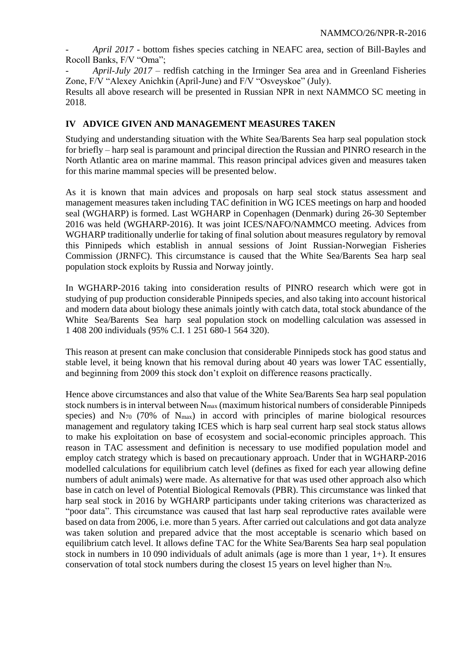- *April 2017* - bottom fishes species catching in NEAFC area, section of Bill-Bayles and Rocoll Banks, F/V "Oma";

- *April*-*July 2017* – redfish catching in the Irminger Sea area and in Greenland Fisheries Zone, F/V "Alexey Anichkin (April-June) and F/V "Osveyskoe" (July).

Results all above research will be presented in Russian NPR in next NAMMCO SC meeting in 2018.

# **IV ADVICE GIVEN AND MANAGEMENT MEASURES TAKEN**

Studying and understanding situation with the White Sea/Barents Sea harp seal population stock for briefly – harp seal is paramount and principal direction the Russian and PINRO research in the North Atlantic area on marine mammal. This reason principal advices given and measures taken for this marine mammal species will be presented below.

As it is known that main advices and proposals on harp seal stock status assessment and management measures taken including TAC definition in WG ICES meetings on harp and hooded seal (WGHARP) is formed. Last WGHARP in Copenhagen (Denmark) during 26-30 September 2016 was held (WGHARP-2016). It was joint ICES/NAFO/NAMMCO meeting. Advices from WGHARP traditionally underlie for taking of final solution about measures regulatory by removal this Pinnipeds which establish in annual sessions of Joint Russian-Norwegian Fisheries Commission (JRNFC). This circumstance is caused that the White Sea/Barents Sea harp seal population stock exploits by Russia and Norway jointly.

In WGHARP-2016 taking into consideration results of PINRO research which were got in studying of pup production considerable Pinnipeds species, and also taking into account historical and modern data about biology these animals jointly with catch data, total stock abundance of the White Sea/Barents Sea harp seal population stock on modelling calculation was assessed in 1 408 200 individuals (95% C.I. 1 251 680-1 564 320).

This reason at present can make conclusion that considerable Pinnipeds stock has good status and stable level, it being known that his removal during about 40 years was lower TAC essentially, and beginning from 2009 this stock don't exploit on difference reasons practically.

Hence above circumstances and also that value of the White Sea/Barents Sea harp seal population stock numbers is in interval between  $N_{\text{max}}$  (maximum historical numbers of considerable Pinnipeds species) and N<sub>70</sub> (70% of N<sub>max</sub>) in accord with principles of marine biological resources management and regulatory taking ICES which is harp seal current harp seal stock status allows to make his exploitation on base of ecosystem and social-economic principles approach. This reason in TAC assessment and definition is necessary to use modified population model and employ catch strategy which is based on precautionary approach. Under that in WGHARP-2016 modelled calculations for equilibrium catch level (defines as fixed for each year allowing define numbers of adult animals) were made. As alternative for that was used other approach also which base in catch on level of Potential Biological Removals (PBR). This circumstance was linked that harp seal stock in 2016 by WGHARP participants under taking criterions was characterized as "poor data". This circumstance was caused that last harp seal reproductive rates available were based on data from 2006, i.e. more than 5 years. After carried out calculations and got data analyze was taken solution and prepared advice that the most acceptable is scenario which based on equilibrium catch level. It allows define TAC for the White Sea/Barents Sea harp seal population stock in numbers in 10 090 individuals of adult animals (age is more than 1 year, 1+). It ensures conservation of total stock numbers during the closest 15 years on level higher than N70.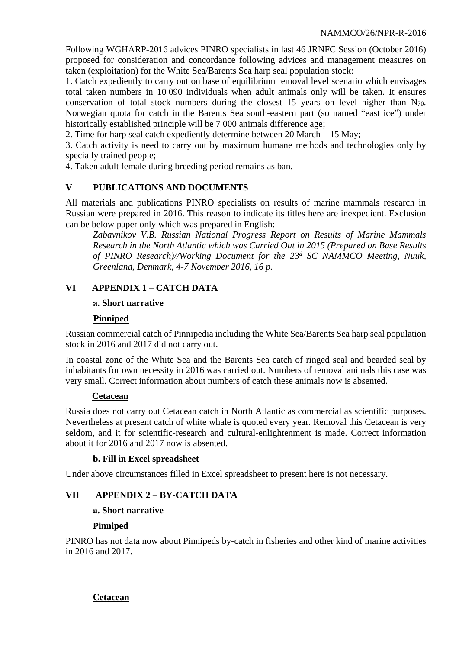Following WGHARP-2016 advices PINRO specialists in last 46 JRNFC Session (October 2016) proposed for consideration and concordance following advices and management measures on taken (exploitation) for the White Sea/Barents Sea harp seal population stock:

1. Catch expediently to carry out on base of equilibrium removal level scenario which envisages total taken numbers in 10 090 individuals when adult animals only will be taken. It ensures conservation of total stock numbers during the closest 15 years on level higher than  $N_{70}$ . Norwegian quota for catch in the Barents Sea south-eastern part (so named "east ice") under historically established principle will be 7 000 animals difference age;

2. Time for harp seal catch expediently determine between 20 March – 15 May;

3. Catch activity is need to carry out by maximum humane methods and technologies only by specially trained people;

4. Taken adult female during breeding period remains as ban.

# **V PUBLICATIONS AND DOCUMENTS**

All materials and publications PINRO specialists on results of marine mammals research in Russian were prepared in 2016. This reason to indicate its titles here are inexpedient. Exclusion can be below paper only which was prepared in English:

*Zabavnikov V.B. Russian National Progress Report on Results of Marine Mammals Research in the North Atlantic which was Carried Out in 2015 (Prepared on Base Results of PINRO Research)//Working Document for the 23 <sup>d</sup> SC NAMMCO Meeting, Nuuk, Greenland, Denmark, 4-7 November 2016, 16 p.*

# **VI APPENDIX 1 – CATCH DATA**

## **а. Short narrative**

## **Pinniped**

Russian commercial catch of Pinnipedia including the White Sea/Barents Sea harp seal population stock in 2016 and 2017 did not carry out.

In coastal zone of the White Sea and the Barents Sea catch of ringed seal and bearded seal by inhabitants for own necessity in 2016 was carried out. Numbers of removal animals this case was very small. Correct information about numbers of catch these animals now is absented.

# **Cetacean**

Russia does not carry out Cetacean catch in North Atlantic as commercial as scientific purposes. Nevertheless at present catch of white whale is quoted every year. Removal this Cetacean is very seldom, and it for scientific-research and cultural-enlightenment is made. Correct information about it for 2016 and 2017 now is absented.

# **b. Fill in Excel spreadsheet**

Under above circumstances filled in Excel spreadsheet to present here is not necessary.

# **VII APPENDIX 2 – BY-CATCH DATA**

# **а. Short narrative**

# **Pinniped**

PINRO has not data now about Pinnipeds by-catch in fisheries and other kind of marine activities in 2016 and 2017.

# **Cetacean**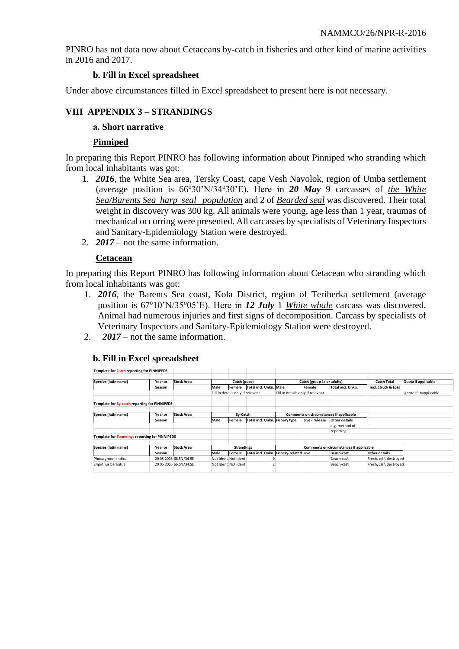PINRO has not data now about Cetaceans by-catch in fisheries and other kind of marine activities in 2016 and 2017.

## **b. Fill in Excel spreadsheet**

Under above circumstances filled in Excel spreadsheet to present here is not necessary.

# **VIII APPENDIX 3 – STRANDINGS**

## **а. Short narrative**

## **Pinniped**

In preparing this Report PINRO has following information about Pinniped who stranding which from local inhabitants was got:

- 1. *2016*, the White Sea area, Tersky Coast, cape Vesh Navolok, region of Umba settlement (average position is  $66^{\circ}30^{\prime}N/34^{\circ}30^{\prime}E$ ). Here in **20 May** 9 carcasses of *the White Sea/Barents Sea harp seal population* and 2 of *Bearded seal* was discovered. Their total weight in discovery was 300 kg. All animals were young, age less than 1 year, traumas of mechanical occurring were presented. All carcasses by specialists of Veterinary Inspectors and Sanitary-Epidemiology Station were destroyed.
- 2. *2017* not the same information.

## **Cetacean**

In preparing this Report PINRO has following information about Cetacean who stranding which from local inhabitants was got:

- 1. *2016*, the Barents Sea coast, Kola District, region of Teriberka settlement (average position is 67<sup>o</sup>10'N/35<sup>o</sup>05'E). Here in 12 July 1 *White whale* carcass was discovered. Animal had numerous injuries and first signs of decomposition. Carcass by specialists of Veterinary Inspectors and Sanitary-Epidemiology Station were destroyed.
- 2. *2017* not the same information.

| Template for Catch reporting for PINNIPEDS             |         |                        |                                  |                      |                                        |                                         |                |                      |                        |                        |
|--------------------------------------------------------|---------|------------------------|----------------------------------|----------------------|----------------------------------------|-----------------------------------------|----------------|----------------------|------------------------|------------------------|
| Species (latin name)<br>Year or                        |         | Stock Area             | Catch (pups)                     |                      |                                        | Catch (group 1+ or adults)              |                |                      | <b>Catch Total</b>     | Quota if applicable    |
|                                                        | Season  |                        | Male                             | Female               | Total incl. Unkn. Male                 |                                         | Female         | Total incl. Unkn.    | incl. Struck & Loss    |                        |
|                                                        |         |                        | Fill in details only if relevant |                      |                                        | Fill in details only if relevant        |                |                      |                        | Ignore if inapplicable |
| Template for By-catch reporting for PINNIPEDS          |         |                        |                                  |                      |                                        |                                         |                |                      |                        |                        |
| Species (latin name)                                   | Year or | Stock Area             | By-Catch                         |                      |                                        | Comments on circumstances if applicable |                |                      |                        |                        |
|                                                        | Season  |                        | Male                             | Female               | Total incl. Unkn. Fishery type         |                                         | Live - release | <b>Other details</b> |                        |                        |
|                                                        |         |                        |                                  |                      |                                        |                                         |                | e.g. method of       |                        |                        |
|                                                        |         |                        |                                  |                      |                                        |                                         |                | reporting            |                        |                        |
| <b>Template for Strandings reporting for PINNIPEDS</b> |         |                        |                                  |                      |                                        |                                         |                |                      |                        |                        |
|                                                        |         |                        |                                  |                      |                                        |                                         |                |                      |                        |                        |
| Species (latin name)                                   | Year or | Stock Area             | <b>Strandings</b>                |                      |                                        | Comments on circumstances if applicable |                |                      |                        |                        |
|                                                        | Season  |                        | Male                             | Female               | Total incl. Unkn. Fishery-related Live |                                         |                | Beach-cast           | <b>Other details</b>   |                        |
| Phoca groenlandica                                     |         | 20.05.2016 66.5N/34.5E |                                  | Not Ident. Not ident |                                        |                                         |                | Beach-cast           | Fresh, calf, destroyed |                        |
| Erignthus barbatus                                     |         | 20.05.2016 66.5N/34.5E |                                  | Not Ident. Not ident |                                        |                                         |                | Beach-cast           | Fresh, calf, destroyed |                        |
|                                                        |         |                        |                                  |                      |                                        |                                         |                |                      |                        |                        |

## **b. Fill in Excel spreadsheet**